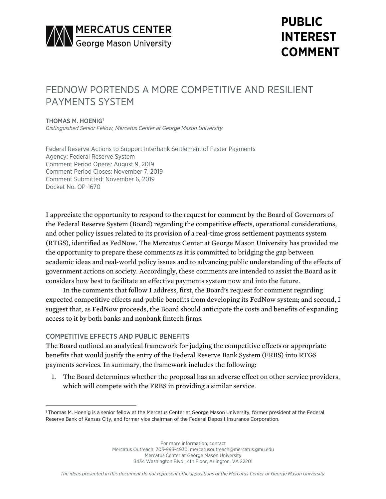

# **PUBLIC INTEREST COMMENT**

# FEDNOW PORTENDS A MORE COMPETITIVE AND RESILIENT PAYMENTS SYSTEM

### THOMAS M. HOENIG<sup>1</sup>

*Distinguished Senior Fellow, Mercatus Center at George Mason University*

Federal Reserve Actions to Support Interbank Settlement of Faster Payments Agency: Federal Reserve System Comment Period Opens: August 9, 2019 Comment Period Closes: November 7, 2019 Comment Submitted: November 6, 2019 Docket No. OP-1670

I appreciate the opportunity to respond to the request for comment by the Board of Governors of the Federal Reserve System (Board) regarding the competitive effects, operational considerations, and other policy issues related to its provision of a real-time gross settlement payments system (RTGS), identified as FedNow. The Mercatus Center at George Mason University has provided me the opportunity to prepare these comments as it is committed to bridging the gap between academic ideas and real-world policy issues and to advancing public understanding of the effects of government actions on society. Accordingly, these comments are intended to assist the Board as it considers how best to facilitate an effective payments system now and into the future.

In the comments that follow I address, first, the Board's request for comment regarding expected competitive effects and public benefits from developing its FedNow system; and second, I suggest that, as FedNow proceeds, the Board should anticipate the costs and benefits of expanding access to it by both banks and nonbank fintech firms.

## COMPETITIVE EFFECTS AND PUBLIC BENEFITS

The Board outlined an analytical framework for judging the competitive effects or appropriate benefits that would justify the entry of the Federal Reserve Bank System (FRBS) into RTGS payments services. In summary, the framework includes the following:

1. The Board determines whether the proposal has an adverse effect on other service providers, which will compete with the FRBS in providing a similar service.

<sup>1</sup> Thomas M. Hoenig is a senior fellow at the Mercatus Center at George Mason University, former president at the Federal Reserve Bank of Kansas City, and former vice chairman of the Federal Deposit Insurance Corporation.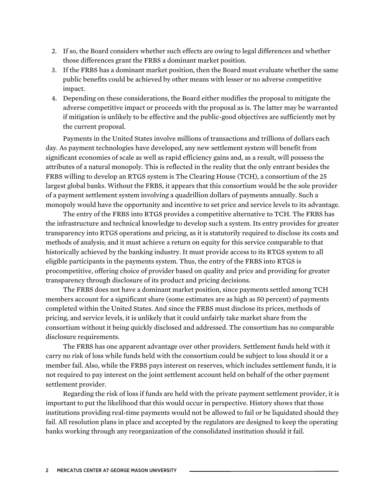- 2. If so, the Board considers whether such effects are owing to legal differences and whether those differences grant the FRBS a dominant market position.
- 3. If the FRBS has a dominant market position, then the Board must evaluate whether the same public benefits could be achieved by other means with lesser or no adverse competitive impact.
- 4. Depending on these considerations, the Board either modifies the proposal to mitigate the adverse competitive impact or proceeds with the proposal as is. The latter may be warranted if mitigation is unlikely to be effective and the public-good objectives are sufficiently met by the current proposal.

Payments in the United States involve millions of transactions and trillions of dollars each day. As payment technologies have developed, any new settlement system will benefit from significant economies of scale as well as rapid efficiency gains and, as a result, will possess the attributes of a natural monopoly. This is reflected in the reality that the only entrant besides the FRBS willing to develop an RTGS system is The Clearing House (TCH), a consortium of the 25 largest global banks. Without the FRBS, it appears that this consortium would be the sole provider of a payment settlement system involving a quadrillion dollars of payments annually. Such a monopoly would have the opportunity and incentive to set price and service levels to its advantage.

The entry of the FRBS into RTGS provides a competitive alternative to TCH. The FRBS has the infrastructure and technical knowledge to develop such a system. Its entry provides for greater transparency into RTGS operations and pricing, as it is statutorily required to disclose its costs and methods of analysis; and it must achieve a return on equity for this service comparable to that historically achieved by the banking industry. It must provide access to its RTGS system to all eligible participants in the payments system. Thus, the entry of the FRBS into RTGS is procompetitive, offering choice of provider based on quality and price and providing for greater transparency through disclosure of its product and pricing decisions.

The FRBS does not have a dominant market position, since payments settled among TCH members account for a significant share (some estimates are as high as 50 percent) of payments completed within the United States. And since the FRBS must disclose its prices, methods of pricing, and service levels, it is unlikely that it could unfairly take market share from the consortium without it being quickly disclosed and addressed. The consortium has no comparable disclosure requirements.

The FRBS has one apparent advantage over other providers. Settlement funds held with it carry no risk of loss while funds held with the consortium could be subject to loss should it or a member fail. Also, while the FRBS pays interest on reserves, which includes settlement funds, it is not required to pay interest on the joint settlement account held on behalf of the other payment settlement provider.

Regarding the risk of loss if funds are held with the private payment settlement provider, it is important to put the likelihood that this would occur in perspective. History shows that those institutions providing real-time payments would not be allowed to fail or be liquidated should they fail. All resolution plans in place and accepted by the regulators are designed to keep the operating banks working through any reorganization of the consolidated institution should it fail.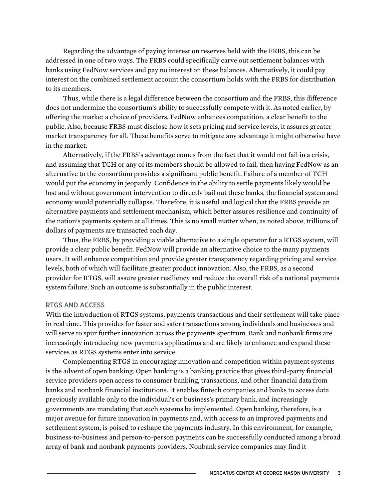Regarding the advantage of paying interest on reserves held with the FRBS, this can be addressed in one of two ways. The FRBS could specifically carve out settlement balances with banks using FedNow services and pay no interest on these balances. Alternatively, it could pay interest on the combined settlement account the consortium holds with the FRBS for distribution to its members.

Thus, while there is a legal difference between the consortium and the FRBS, this difference does not undermine the consortium's ability to successfully compete with it. As noted earlier, by offering the market a choice of providers, FedNow enhances competition, a clear benefit to the public. Also, because FRBS must disclose how it sets pricing and service levels, it assures greater market transparency for all. These benefits serve to mitigate any advantage it might otherwise have in the market.

Alternatively, if the FRBS's advantage comes from the fact that it would not fail in a crisis, and assuming that TCH or any of its members should be allowed to fail, then having FedNow as an alternative to the consortium provides a significant public benefit. Failure of a member of TCH would put the economy in jeopardy. Confidence in the ability to settle payments likely would be lost and without government intervention to directly bail out these banks, the financial system and economy would potentially collapse. Therefore, it is useful and logical that the FRBS provide an alternative payments and settlement mechanism, which better assures resilience and continuity of the nation's payments system at all times. This is no small matter when, as noted above, trillions of dollars of payments are transacted each day.

Thus, the FRBS, by providing a viable alternative to a single operator for a RTGS system, will provide a clear public benefit. FedNow will provide an alternative choice to the many payments users. It will enhance competition and provide greater transparency regarding pricing and service levels, both of which will facilitate greater product innovation. Also, the FRBS, as a second provider for RTGS, will assure greater resiliency and reduce the overall risk of a national payments system failure. Such an outcome is substantially in the public interest.

#### RTGS AND ACCESS

With the introduction of RTGS systems, payments transactions and their settlement will take place in real time. This provides for faster and safer transactions among individuals and businesses and will serve to spur further innovation across the payments spectrum. Bank and nonbank firms are increasingly introducing new payments applications and are likely to enhance and expand these services as RTGS systems enter into service.

Complementing RTGS in encouraging innovation and competition within payment systems is the advent of open banking. Open banking is a banking practice that gives third-party financial service providers open access to consumer banking, transactions, and other financial data from banks and nonbank financial institutions. It enables fintech companies and banks to access data previously available only to the individual's or business's primary bank, and increasingly governments are mandating that such systems be implemented. Open banking, therefore, is a major avenue for future innovation in payments and, with access to an improved payments and settlement system, is poised to reshape the payments industry. In this environment, for example, business-to-business and person-to-person payments can be successfully conducted among a broad array of bank and nonbank payments providers. Nonbank service companies may find it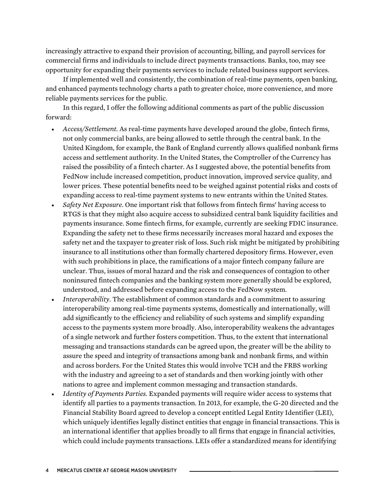increasingly attractive to expand their provision of accounting, billing, and payroll services for commercial firms and individuals to include direct payments transactions. Banks, too, may see opportunity for expanding their payments services to include related business support services.

If implemented well and consistently, the combination of real-time payments, open banking, and enhanced payments technology charts a path to greater choice, more convenience, and more reliable payments services for the public.

In this regard, I offer the following additional comments as part of the public discussion forward:

- *Access/Settlement.* As real-time payments have developed around the globe, fintech firms, not only commercial banks, are being allowed to settle through the central bank. In the United Kingdom, for example, the Bank of England currently allows qualified nonbank firms access and settlement authority. In the United States, the Comptroller of the Currency has raised the possibility of a fintech charter. As I suggested above, the potential benefits from FedNow include increased competition, product innovation, improved service quality, and lower prices. These potential benefits need to be weighed against potential risks and costs of expanding access to real-time payment systems to new entrants within the United States.
- *Safety Net Exposure.* One important risk that follows from fintech firms' having access to RTGS is that they might also acquire access to subsidized central bank liquidity facilities and payments insurance. Some fintech firms, for example, currently are seeking FDIC insurance. Expanding the safety net to these firms necessarily increases moral hazard and exposes the safety net and the taxpayer to greater risk of loss. Such risk might be mitigated by prohibiting insurance to all institutions other than formally chartered depository firms. However, even with such prohibitions in place, the ramifications of a major fintech company failure are unclear. Thus, issues of moral hazard and the risk and consequences of contagion to other noninsured fintech companies and the banking system more generally should be explored, understood, and addressed before expanding access to the FedNow system.
- *Interoperability.* The establishment of common standards and a commitment to assuring interoperability among real-time payments systems, domestically and internationally, will add significantly to the efficiency and reliability of such systems and simplify expanding access to the payments system more broadly. Also, interoperability weakens the advantages of a single network and further fosters competition. Thus, to the extent that international messaging and transactions standards can be agreed upon, the greater will be the ability to assure the speed and integrity of transactions among bank and nonbank firms, and within and across borders. For the United States this would involve TCH and the FRBS working with the industry and agreeing to a set of standards and then working jointly with other nations to agree and implement common messaging and transaction standards.
- *Identity of Payments Parties.* Expanded payments will require wider access to systems that identify all parties to a payments transaction. In 2013, for example, the G-20 directed and the Financial Stability Board agreed to develop a concept entitled Legal Entity Identifier (LEI), which uniquely identifies legally distinct entities that engage in financial transactions. This is an international identifier that applies broadly to all firms that engage in financial activities, which could include payments transactions. LEIs offer a standardized means for identifying